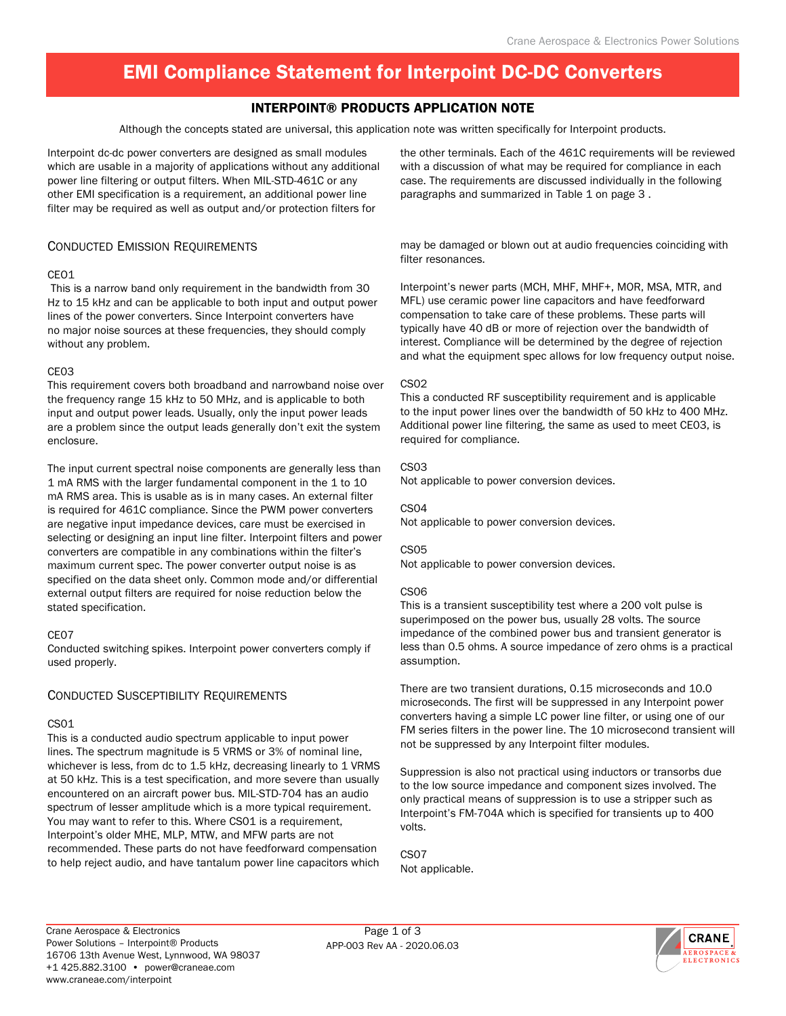# EMI Compliance Statement for Interpoint DC-DC Converters

## Interpoint® Products Application Note

Although the concepts stated are universal, this application note was written specifically for Interpoint products.

Interpoint dc-dc power converters are designed as small modules which are usable in a majority of applications without any additional power line filtering or output filters. When MIL-STD-461C or any other EMI specification is a requirement, an additional power line filter may be required as well as output and/or protection filters for

## Conducted Emission Requirements

### CEO1

 This is a narrow band only requirement in the bandwidth from 30 Hz to 15 kHz and can be applicable to both input and output power lines of the power converters. Since Interpoint converters have no major noise sources at these frequencies, they should comply without any problem.

### CE03

This requirement covers both broadband and narrowband noise over the frequency range 15 kHz to 50 MHz, and is applicable to both input and output power leads. Usually, only the input power leads are a problem since the output leads generally don't exit the system enclosure.

The input current spectral noise components are generally less than 1 mA RMS with the larger fundamental component in the 1 to 10 mA RMS area. This is usable as is in many cases. An external filter is required for 461C compliance. Since the PWM power converters are negative input impedance devices, care must be exercised in selecting or designing an input line filter. Interpoint filters and power converters are compatible in any combinations within the filter's maximum current spec. The power converter output noise is as specified on the data sheet only. Common mode and/or differential external output filters are required for noise reduction below the stated specification.

### CE07

Conducted switching spikes. Interpoint power converters comply if used properly.

### Conducted Susceptibility Requirements

## CS01

This is a conducted audio spectrum applicable to input power lines. The spectrum magnitude is 5 VRMS or 3% of nominal line, whichever is less, from dc to 1.5 kHz, decreasing linearly to 1 VRMS at 50 kHz. This is a test specification, and more severe than usually encountered on an aircraft power bus. MIL-STD-704 has an audio spectrum of lesser amplitude which is a more typical requirement. You may want to refer to this. Where CS01 is a requirement, Interpoint's older MHE, MLP, MTW, and MFW parts are not recommended. These parts do not have feedforward compensation to help reject audio, and have tantalum power line capacitors which

the other terminals. Each of the 461C requirements will be reviewed with a discussion of what may be required for compliance in each case. The requirements are discussed individually in the following paragraphs and summarized in Table 1 on page 3 .

may be damaged or blown out at audio frequencies coinciding with filter resonances.

Interpoint's newer parts (MCH, MHF, MHF+, MOR, MSA, MTR, and MFL) use ceramic power line capacitors and have feedforward compensation to take care of these problems. These parts will typically have 40 dB or more of rejection over the bandwidth of interest. Compliance will be determined by the degree of rejection and what the equipment spec allows for low frequency output noise.

### CS02

This a conducted RF susceptibility requirement and is applicable to the input power lines over the bandwidth of 50 kHz to 400 MHz. Additional power line filtering, the same as used to meet CE03, is required for compliance.

### CS03

Not applicable to power conversion devices.

### CS04

Not applicable to power conversion devices.

### CS05

Not applicable to power conversion devices.

### CS06

This is a transient susceptibility test where a 200 volt pulse is superimposed on the power bus, usually 28 volts. The source impedance of the combined power bus and transient generator is less than 0.5 ohms. A source impedance of zero ohms is a practical assumption.

There are two transient durations, 0.15 microseconds and 10.0 microseconds. The first will be suppressed in any Interpoint power converters having a simple LC power line filter, or using one of our FM series filters in the power line. The 10 microsecond transient will not be suppressed by any Interpoint filter modules.

Suppression is also not practical using inductors or transorbs due to the low source impedance and component sizes involved. The only practical means of suppression is to use a stripper such as Interpoint's FM-704A which is specified for transients up to 400 volts.

CS07 Not applicable.

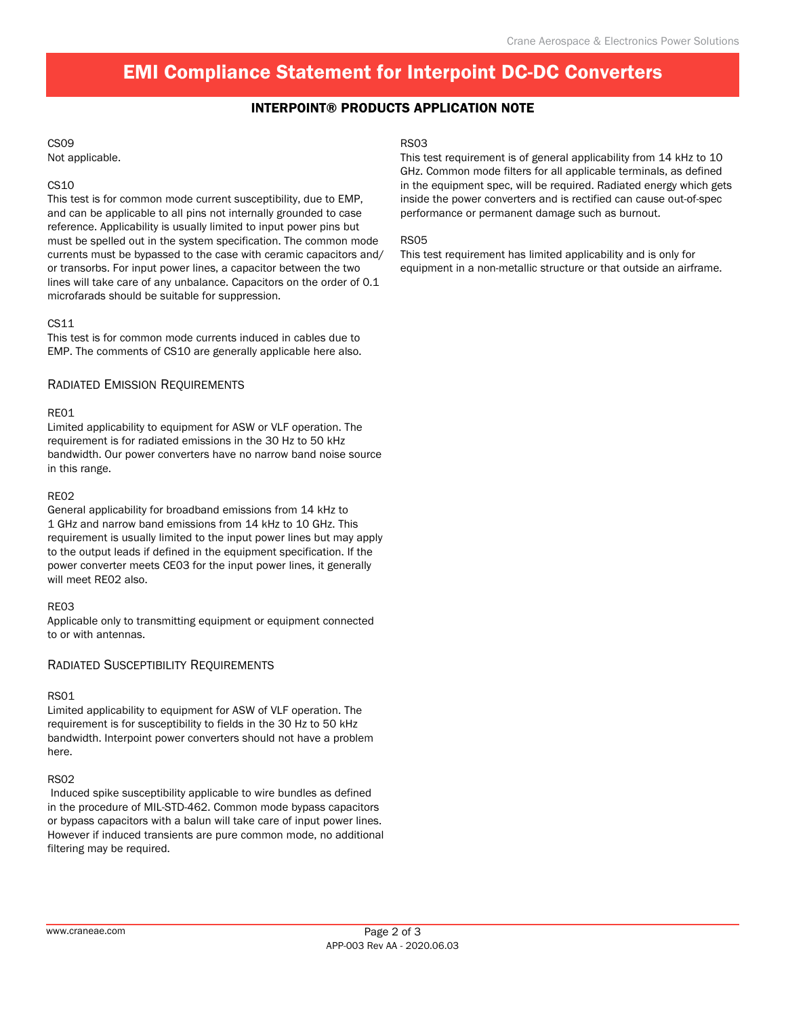# EMI Compliance Statement for Interpoint DC-DC Converters

## Interpoint® Products Application Note

## CS09

Not applicable.

### CS10

This test is for common mode current susceptibility, due to EMP, and can be applicable to all pins not internally grounded to case reference. Applicability is usually limited to input power pins but must be spelled out in the system specification. The common mode currents must be bypassed to the case with ceramic capacitors and/ or transorbs. For input power lines, a capacitor between the two lines will take care of any unbalance. Capacitors on the order of 0.1 microfarads should be suitable for suppression.

### CS11

This test is for common mode currents induced in cables due to EMP. The comments of CS10 are generally applicable here also.

## Radiated Emission Requirements

### RE01

Limited applicability to equipment for ASW or VLF operation. The requirement is for radiated emissions in the 30 Hz to 50 kHz bandwidth. Our power converters have no narrow band noise source in this range.

### RE02

General applicability for broadband emissions from 14 kHz to 1 GHz and narrow band emissions from 14 kHz to 10 GHz. This requirement is usually limited to the input power lines but may apply to the output leads if defined in the equipment specification. If the power converter meets CE03 for the input power lines, it generally will meet RE02 also.

### RE03

Applicable only to transmitting equipment or equipment connected to or with antennas.

### Radiated Susceptibility Requirements

### RS01

Limited applicability to equipment for ASW of VLF operation. The requirement is for susceptibility to fields in the 30 Hz to 50 kHz bandwidth. Interpoint power converters should not have a problem here.

### RS02

 Induced spike susceptibility applicable to wire bundles as defined in the procedure of MIL-STD-462. Common mode bypass capacitors or bypass capacitors with a balun will take care of input power lines. However if induced transients are pure common mode, no additional filtering may be required.

#### RS03

This test requirement is of general applicability from 14 kHz to 10 GHz. Common mode filters for all applicable terminals, as defined in the equipment spec, will be required. Radiated energy which gets inside the power converters and is rectified can cause out-of-spec performance or permanent damage such as burnout.

### RS05

This test requirement has limited applicability and is only for equipment in a non-metallic structure or that outside an airframe.